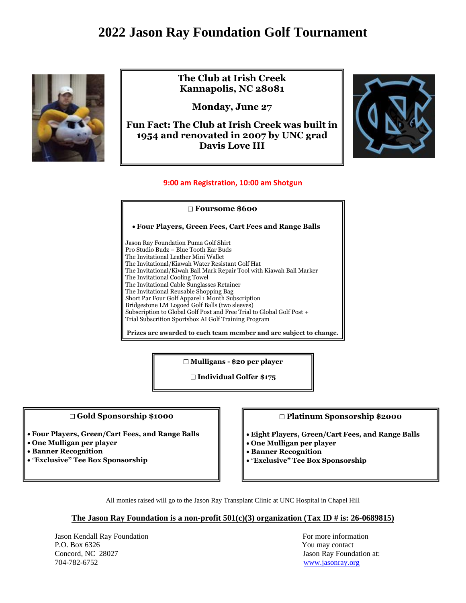# **2022 Jason Ray Foundation Golf Tournament**



**The Club at Irish Creek Kannapolis, NC 28081**

**Monday, June 27**

**Fun Fact: The Club at Irish Creek was built in 1954 and renovated in 2007 by UNC grad Davis Love III**



# **9:00 am Registration, 10:00 am Shotgun**

#### **Foursome \$600**

• **Four Players, Green Fees, Cart Fees and Range Balls** 

Jason Ray Foundation Puma Golf Shirt Pro Studio Budz – Blue Tooth Ear Buds The Invitational Leather Mini Wallet The Invitational/Kiawah Water Resistant Golf Hat The Invitational/Kiwah Ball Mark Repair Tool with Kiawah Ball Marker The Invitational Cooling Towel The Invitational Cable Sunglasses Retainer The Invitational Reusable Shopping Bag Short Par Four Golf Apparel 1 Month Subscription Bridgestone LM Logoed Golf Balls (two sleeves) Subscription to Global Golf Post and Free Trial to Global Golf Post + Trial Subscrition Sportsbox AI Golf Training Program

**Prizes are awarded to each team member and are subject to change.**

**Mulligans - \$20 per player**

**Individual Golfer \$175**

#### **Gold Sponsorship \$1000**

֬֕֜֓

- **Four Players, Green/Cart Fees, and Range Balls**
- **One Mulligan per player**
- **Banner Recognition**
- "**Exclusive" Tee Box Sponsorship**

## **Platinum Sponsorship \$2000**

- **Eight Players, Green/Cart Fees, and Range Balls**
- **One Mulligan per player**
- **Banner Recognition**
- "**Exclusive" Tee Box Sponsorship**

All monies raised will go to the Jason Ray Transplant Clinic at UNC Hospital in Chapel Hill

## **The Jason Ray Foundation is a non-profit 501(c)(3) organization (Tax ID # is: 26-0689815)**

Jason Kendall Ray Foundation **For more information** For more information P.O. Box 6326 You may contact Concord, NC 28027 Jason Ray Foundation at: 704-782-6752 [www.jasonray.org](http://www.jasonray.org/)